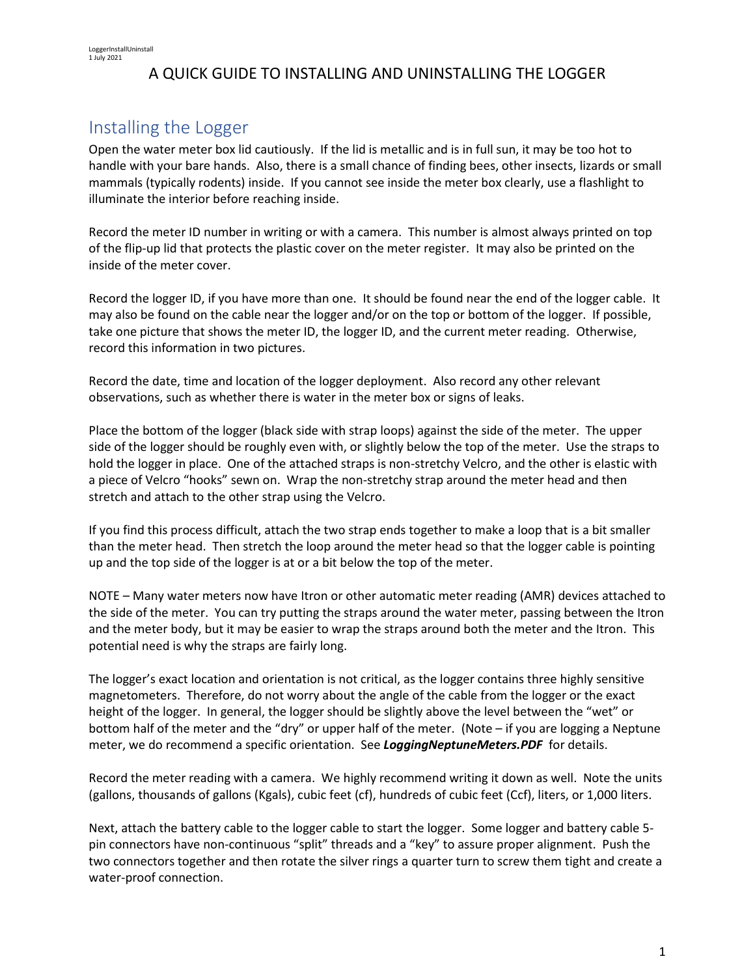## A QUICK GUIDE TO INSTALLING AND UNINSTALLING THE LOGGER

## Installing the Logger

Open the water meter box lid cautiously. If the lid is metallic and is in full sun, it may be too hot to handle with your bare hands. Also, there is a small chance of finding bees, other insects, lizards or small mammals (typically rodents) inside. If you cannot see inside the meter box clearly, use a flashlight to illuminate the interior before reaching inside.

Record the meter ID number in writing or with a camera. This number is almost always printed on top of the flip-up lid that protects the plastic cover on the meter register. It may also be printed on the inside of the meter cover.

Record the logger ID, if you have more than one. It should be found near the end of the logger cable. It may also be found on the cable near the logger and/or on the top or bottom of the logger. If possible, take one picture that shows the meter ID, the logger ID, and the current meter reading. Otherwise, record this information in two pictures.

Record the date, time and location of the logger deployment. Also record any other relevant observations, such as whether there is water in the meter box or signs of leaks.

Place the bottom of the logger (black side with strap loops) against the side of the meter. The upper side of the logger should be roughly even with, or slightly below the top of the meter. Use the straps to hold the logger in place. One of the attached straps is non-stretchy Velcro, and the other is elastic with a piece of Velcro "hooks" sewn on. Wrap the non-stretchy strap around the meter head and then stretch and attach to the other strap using the Velcro.

If you find this process difficult, attach the two strap ends together to make a loop that is a bit smaller than the meter head. Then stretch the loop around the meter head so that the logger cable is pointing up and the top side of the logger is at or a bit below the top of the meter.

NOTE – Many water meters now have Itron or other automatic meter reading (AMR) devices attached to the side of the meter. You can try putting the straps around the water meter, passing between the Itron and the meter body, but it may be easier to wrap the straps around both the meter and the Itron. This potential need is why the straps are fairly long.

The logger's exact location and orientation is not critical, as the logger contains three highly sensitive magnetometers. Therefore, do not worry about the angle of the cable from the logger or the exact height of the logger. In general, the logger should be slightly above the level between the "wet" or bottom half of the meter and the "dry" or upper half of the meter. (Note – if you are logging a Neptune meter, we do recommend a specific orientation. See *LoggingNeptuneMeters.PDF* for details.

Record the meter reading with a camera. We highly recommend writing it down as well. Note the units (gallons, thousands of gallons (Kgals), cubic feet (cf), hundreds of cubic feet (Ccf), liters, or 1,000 liters.

Next, attach the battery cable to the logger cable to start the logger. Some logger and battery cable 5 pin connectors have non-continuous "split" threads and a "key" to assure proper alignment. Push the two connectors together and then rotate the silver rings a quarter turn to screw them tight and create a water-proof connection.